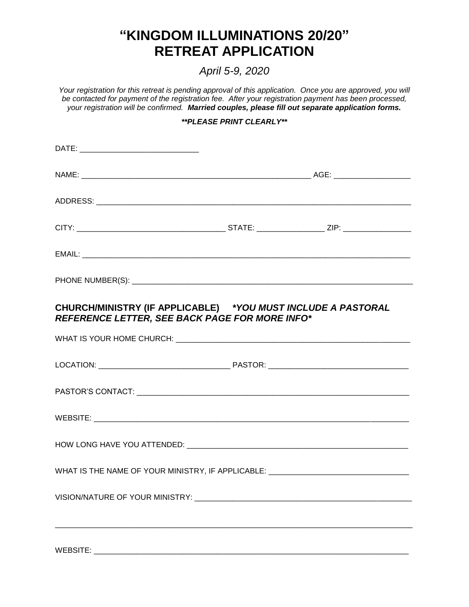## **"KINGDOM ILLUMINATIONS 20/20" RETREAT APPLICATION**

*April 5-9, 2020*

*Your registration for this retreat is pending approval of this application. Once you are approved, you will be contacted for payment of the registration fee. After your registration payment has been processed, your registration will be confirmed. Married couples, please fill out separate application forms.*

## *\*\*PLEASE PRINT CLEARLY\*\**

| CHURCH/MINISTRY (IF APPLICABLE) *YOU MUST INCLUDE A PASTORAL<br><b>REFERENCE LETTER, SEE BACK PAGE FOR MORE INFO*</b> |  |
|-----------------------------------------------------------------------------------------------------------------------|--|
|                                                                                                                       |  |
|                                                                                                                       |  |
|                                                                                                                       |  |
|                                                                                                                       |  |
|                                                                                                                       |  |
| WHAT IS THE NAME OF YOUR MINISTRY, IF APPLICABLE: ______________________________                                      |  |
|                                                                                                                       |  |
|                                                                                                                       |  |
|                                                                                                                       |  |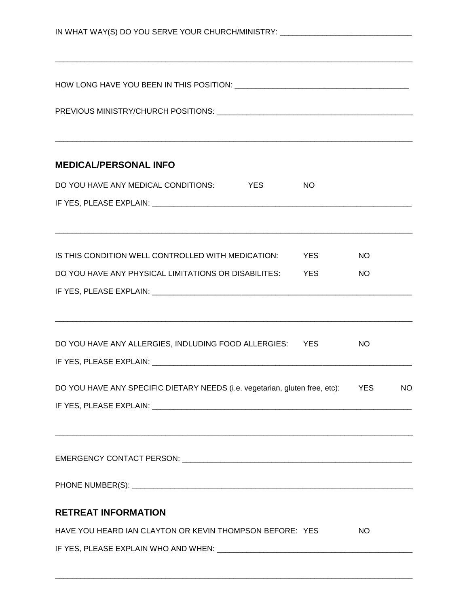| IN WHAT WAY(S) DO YOU SERVE YOUR CHURCH/MINISTRY: ______________________________ |                         |  |  |  |
|----------------------------------------------------------------------------------|-------------------------|--|--|--|
|                                                                                  |                         |  |  |  |
|                                                                                  |                         |  |  |  |
| <b>MEDICAL/PERSONAL INFO</b>                                                     |                         |  |  |  |
| DO YOU HAVE ANY MEDICAL CONDITIONS: YES<br><b>NO</b>                             |                         |  |  |  |
|                                                                                  |                         |  |  |  |
| IS THIS CONDITION WELL CONTROLLED WITH MEDICATION: YES                           | <b>NO</b>               |  |  |  |
| DO YOU HAVE ANY PHYSICAL LIMITATIONS OR DISABILITES: YES                         | <b>NO</b>               |  |  |  |
|                                                                                  |                         |  |  |  |
| DO YOU HAVE ANY ALLERGIES, INDLUDING FOOD ALLERGIES: YES                         | <b>NO</b>               |  |  |  |
|                                                                                  |                         |  |  |  |
| DO YOU HAVE ANY SPECIFIC DIETARY NEEDS (i.e. vegetarian, gluten free, etc):      | <b>YES</b><br><b>NO</b> |  |  |  |
|                                                                                  |                         |  |  |  |
|                                                                                  |                         |  |  |  |
|                                                                                  |                         |  |  |  |
| <b>RETREAT INFORMATION</b>                                                       |                         |  |  |  |
| HAVE YOU HEARD IAN CLAYTON OR KEVIN THOMPSON BEFORE: YES                         | <b>NO</b>               |  |  |  |
|                                                                                  |                         |  |  |  |

\_\_\_\_\_\_\_\_\_\_\_\_\_\_\_\_\_\_\_\_\_\_\_\_\_\_\_\_\_\_\_\_\_\_\_\_\_\_\_\_\_\_\_\_\_\_\_\_\_\_\_\_\_\_\_\_\_\_\_\_\_\_\_\_\_\_\_\_\_\_\_\_\_\_\_\_\_\_\_\_\_\_\_\_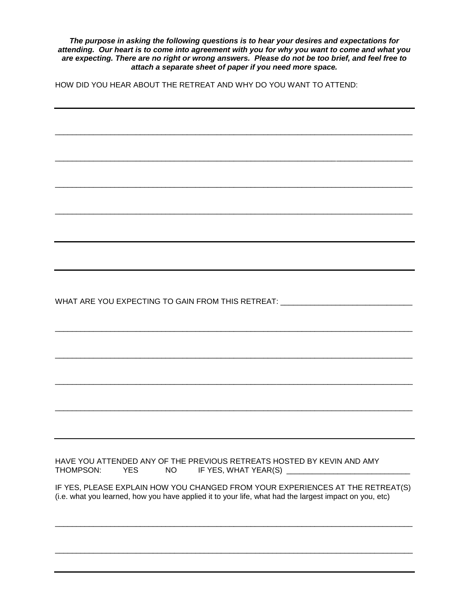*The purpose in asking the following questions is to hear your desires and expectations for attending. Our heart is to come into agreement with you for why you want to come and what you are expecting. There are no right or wrong answers. Please do not be too brief, and feel free to attach a separate sheet of paper if you need more space.*

\_\_\_\_\_\_\_\_\_\_\_\_\_\_\_\_\_\_\_\_\_\_\_\_\_\_\_\_\_\_\_\_\_\_\_\_\_\_\_\_\_\_\_\_\_\_\_\_\_\_\_\_\_\_\_\_\_\_\_\_\_\_\_\_\_\_\_\_\_\_\_\_\_\_\_\_\_\_\_\_\_\_\_\_

\_\_\_\_\_\_\_\_\_\_\_\_\_\_\_\_\_\_\_\_\_\_\_\_\_\_\_\_\_\_\_\_\_\_\_\_\_\_\_\_\_\_\_\_\_\_\_\_\_\_\_\_\_\_\_\_\_\_\_\_\_\_\_\_\_\_\_\_\_\_\_\_\_\_\_\_\_\_\_\_\_\_\_\_

\_\_\_\_\_\_\_\_\_\_\_\_\_\_\_\_\_\_\_\_\_\_\_\_\_\_\_\_\_\_\_\_\_\_\_\_\_\_\_\_\_\_\_\_\_\_\_\_\_\_\_\_\_\_\_\_\_\_\_\_\_\_\_\_\_\_\_\_\_\_\_\_\_\_\_\_\_\_\_\_\_\_\_\_

\_\_\_\_\_\_\_\_\_\_\_\_\_\_\_\_\_\_\_\_\_\_\_\_\_\_\_\_\_\_\_\_\_\_\_\_\_\_\_\_\_\_\_\_\_\_\_\_\_\_\_\_\_\_\_\_\_\_\_\_\_\_\_\_\_\_\_\_\_\_\_\_\_\_\_\_\_\_\_\_\_\_\_\_

\_\_\_\_\_\_\_\_\_\_\_\_\_\_\_\_\_\_\_\_\_\_\_\_\_\_\_\_\_\_\_\_\_\_\_\_\_\_\_\_\_\_\_\_\_\_\_\_\_\_\_\_\_\_\_\_\_\_\_\_\_\_\_\_\_\_\_\_\_\_\_\_\_\_\_\_\_\_\_\_\_\_\_\_

\_\_\_\_\_\_\_\_\_\_\_\_\_\_\_\_\_\_\_\_\_\_\_\_\_\_\_\_\_\_\_\_\_\_\_\_\_\_\_\_\_\_\_\_\_\_\_\_\_\_\_\_\_\_\_\_\_\_\_\_\_\_\_\_\_\_\_\_\_\_\_\_\_\_\_\_\_\_\_\_\_\_\_\_

\_\_\_\_\_\_\_\_\_\_\_\_\_\_\_\_\_\_\_\_\_\_\_\_\_\_\_\_\_\_\_\_\_\_\_\_\_\_\_\_\_\_\_\_\_\_\_\_\_\_\_\_\_\_\_\_\_\_\_\_\_\_\_\_\_\_\_\_\_\_\_\_\_\_\_\_\_\_\_\_\_\_\_\_

\_\_\_\_\_\_\_\_\_\_\_\_\_\_\_\_\_\_\_\_\_\_\_\_\_\_\_\_\_\_\_\_\_\_\_\_\_\_\_\_\_\_\_\_\_\_\_\_\_\_\_\_\_\_\_\_\_\_\_\_\_\_\_\_\_\_\_\_\_\_\_\_\_\_\_\_\_\_\_\_\_\_\_\_

HOW DID YOU HEAR ABOUT THE RETREAT AND WHY DO YOU WANT TO ATTEND:

WHAT ARE YOU EXPECTING TO GAIN FROM THIS RETREAT: \_\_\_\_\_\_\_\_\_\_\_\_\_\_\_\_\_\_\_\_\_\_\_\_\_\_\_\_\_\_

HAVE YOU ATTENDED ANY OF THE PREVIOUS RETREATS HOSTED BY KEVIN AND AMY THOMPSON: YES MO THE YES, WHAT YEAR(S) THOMPSON: YES NO IF YES, WHAT YEAR(S) \_\_\_\_\_\_\_\_\_\_\_\_\_\_\_\_\_\_\_\_\_\_\_\_\_\_\_\_\_

IF YES, PLEASE EXPLAIN HOW YOU CHANGED FROM YOUR EXPERIENCES AT THE RETREAT(S) (i.e. what you learned, how you have applied it to your life, what had the largest impact on you, etc)

\_\_\_\_\_\_\_\_\_\_\_\_\_\_\_\_\_\_\_\_\_\_\_\_\_\_\_\_\_\_\_\_\_\_\_\_\_\_\_\_\_\_\_\_\_\_\_\_\_\_\_\_\_\_\_\_\_\_\_\_\_\_\_\_\_\_\_\_\_\_\_\_\_\_\_\_\_\_\_\_\_\_\_\_

\_\_\_\_\_\_\_\_\_\_\_\_\_\_\_\_\_\_\_\_\_\_\_\_\_\_\_\_\_\_\_\_\_\_\_\_\_\_\_\_\_\_\_\_\_\_\_\_\_\_\_\_\_\_\_\_\_\_\_\_\_\_\_\_\_\_\_\_\_\_\_\_\_\_\_\_\_\_\_\_\_\_\_\_